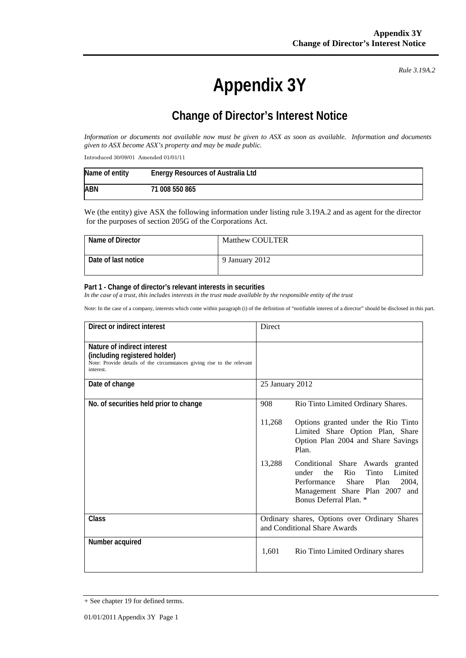**Appendix 3Y** 

*Rule 3.19A.2*

## **Change of Director's Interest Notice**

*Information or documents not available now must be given to ASX as soon as available. Information and documents given to ASX become ASX's property and may be made public.* 

Introduced 30/09/01 Amended 01/01/11

| Name of entity | <b>Energy Resources of Australia Ltd</b> |
|----------------|------------------------------------------|
| <b>ABN</b>     | 71 008 550 865                           |

We (the entity) give ASX the following information under listing rule 3.19A.2 and as agent for the director for the purposes of section 205G of the Corporations Act.

| Name of Director    | <b>Matthew COULTER</b> |
|---------------------|------------------------|
| Date of last notice | 9 January 2012         |

## **Part 1 - Change of director's relevant interests in securities**

In the case of a trust, this includes interests in the trust made available by the responsible entity of the trust

Note: In the case of a company, interests which come within paragraph (i) of the definition of "notifiable interest of a director" should be disclosed in this part.

| Direct or indirect interest                                                                                                                         | <b>Direct</b>                                                                 |                                                                                                                                                                                  |
|-----------------------------------------------------------------------------------------------------------------------------------------------------|-------------------------------------------------------------------------------|----------------------------------------------------------------------------------------------------------------------------------------------------------------------------------|
| Nature of indirect interest<br>(including registered holder)<br>Note: Provide details of the circumstances giving rise to the relevant<br>interest. |                                                                               |                                                                                                                                                                                  |
| Date of change                                                                                                                                      | 25 January 2012                                                               |                                                                                                                                                                                  |
| No. of securities held prior to change                                                                                                              | 908                                                                           | Rio Tinto Limited Ordinary Shares.                                                                                                                                               |
|                                                                                                                                                     | 11,268                                                                        | Options granted under the Rio Tinto<br>Limited Share Option Plan, Share<br>Option Plan 2004 and Share Savings<br>Plan.                                                           |
|                                                                                                                                                     | 13,288                                                                        | Conditional Share Awards granted<br>the<br>Rio<br>Tinto<br>Limited<br>under<br>Performance<br>Share<br>Plan<br>2004.<br>Management Share Plan 2007 and<br>Bonus Deferral Plan. * |
| Class                                                                                                                                               | Ordinary shares, Options over Ordinary Shares<br>and Conditional Share Awards |                                                                                                                                                                                  |
| Number acquired                                                                                                                                     | 1,601                                                                         | Rio Tinto Limited Ordinary shares                                                                                                                                                |

<sup>+</sup> See chapter 19 for defined terms.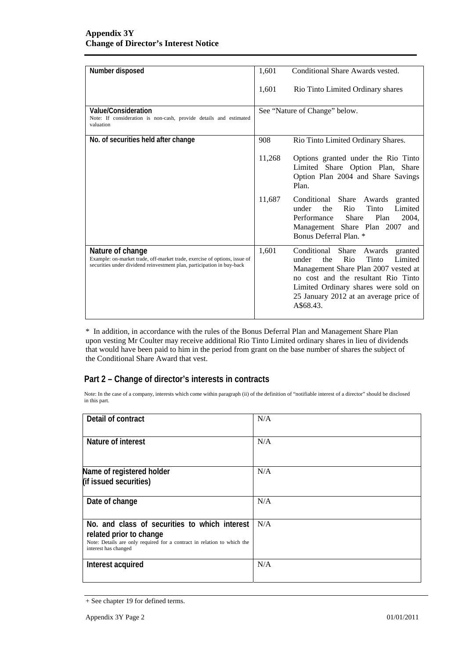| Number disposed                                                                                                                                                         | 1,601  | Conditional Share Awards vested.                                                                                                                                                                                                                                   |
|-------------------------------------------------------------------------------------------------------------------------------------------------------------------------|--------|--------------------------------------------------------------------------------------------------------------------------------------------------------------------------------------------------------------------------------------------------------------------|
|                                                                                                                                                                         | 1,601  | Rio Tinto Limited Ordinary shares                                                                                                                                                                                                                                  |
| Value/Consideration<br>Note: If consideration is non-cash, provide details and estimated<br>valuation                                                                   |        | See "Nature of Change" below.                                                                                                                                                                                                                                      |
| No. of securities held after change                                                                                                                                     | 908    | Rio Tinto Limited Ordinary Shares.                                                                                                                                                                                                                                 |
|                                                                                                                                                                         | 11,268 | Options granted under the Rio Tinto<br>Limited Share Option Plan, Share<br>Option Plan 2004 and Share Savings<br>Plan.                                                                                                                                             |
|                                                                                                                                                                         | 11,687 | Conditional Share<br>Awards<br>granted<br>Tinto<br>under<br>Rio<br>Limited<br>the<br>Performance<br>Share<br>Plan<br>2004,<br>Management Share Plan 2007<br>and<br>Bonus Deferral Plan. *                                                                          |
| Nature of change<br>Example: on-market trade, off-market trade, exercise of options, issue of<br>securities under dividend reinvestment plan, participation in buy-back | 1,601  | Conditional<br>Share<br>Awards<br>granted<br>Rio<br>Tinto<br>under<br>the<br>Limited<br>Management Share Plan 2007 vested at<br>no cost and the resultant Rio Tinto<br>Limited Ordinary shares were sold on<br>25 January 2012 at an average price of<br>A\$68.43. |

\* In addition, in accordance with the rules of the Bonus Deferral Plan and Management Share Plan upon vesting Mr Coulter may receive additional Rio Tinto Limited ordinary shares in lieu of dividends that would have been paid to him in the period from grant on the base number of shares the subject of the Conditional Share Award that vest.

## **Part 2 – Change of director's interests in contracts**

Note: In the case of a company, interests which come within paragraph (ii) of the definition of "notifiable interest of a director" should be disclosed in this part.

| Detail of contract                                                                                                                                                          | N/A |
|-----------------------------------------------------------------------------------------------------------------------------------------------------------------------------|-----|
| Nature of interest                                                                                                                                                          | N/A |
| Name of registered holder<br>(if issued securities)                                                                                                                         | N/A |
| Date of change                                                                                                                                                              | N/A |
| No. and class of securities to which interest<br>related prior to change<br>Note: Details are only required for a contract in relation to which the<br>interest has changed | N/A |
| Interest acquired                                                                                                                                                           | N/A |

<sup>+</sup> See chapter 19 for defined terms.